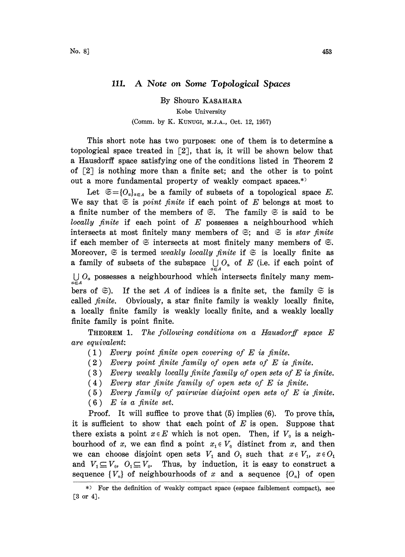## 111. A Note on Some Topological Spaces

By Shouro KASAHARA Kobe University (Comm. by K. KUNUCI, M.J.A., Oct. 12, 1957)

This short note has two purposes: one of them is to determine a topological space treated in  $[2]$ , that is, it will be shown below that a Hausdorff space satisfying one of the conditions listed in Theorem 2 of  $[2]$  is nothing more than a finite set; and the other is to point out <sup>a</sup> more fundamental property of weakly compact spaces.\*

Let  $\mathfrak{S}={O_a}_{a\in A}$  be a family of subsets of a topological space E. We say that  $\mathfrak{S}$  is *point finite* if each point of E belongs at most to a finite number of the members of  $\mathfrak{S}$ . The family  $\mathfrak{S}$  is said to be locally finite if each point of  $E$  possesses a neighbourhood which intersects at most finitely many members of  $\mathfrak{S}$ ; and  $\mathfrak{S}$  is star finite if each member of  $\mathfrak S$  intersects at most finitely many members of  $\mathfrak S$ . Moreover,  $\Im$  is termed weakly locally finite if  $\Im$  is locally finite as a family of subsets of the subspace  $\bigcup_{\alpha \in A} O_{\alpha}$  of E (i.e. if each point of  $\bigcup_{\alpha\in A} O_{\alpha}$  possesses a neighbourhood which intersects finitely many members of  $\Im$ ). If the set A of indices is a finite set, the family  $\Im$  is called finite. Obviously, a star finite family is weakly locally finite, a locally finite family is weakly locally finite, and a weakly locally finite family is point finite.

**THEOREM 1.** The following conditions on a Hausdorff space  $E$ are equivalent:

- $(1)$  Every point finite open covering of E is finite.
- (2) Every point finite family of open sets of E is finite.
- $(3)$  Every weakly locally finite family of open sets of E is finite.
- $(4)$  Every star finite family of open sets of E is finite.
- (5) Every family of pairwise disjoint open sets of E is finite.
- $(6)$  E is a finite set.

Proof. It will suffice to prove that (5) implies (6). To prove this, it is sufficient to show that each point of  $E$  is open. Suppose that there exists a point  $x \in E$  which is not open. Then, if  $V_0$  is a neighbourhood of x, we can find a point  $x_1 \in V_0$  distinct from x, and then we can choose disjoint open sets  $V_1$  and  $O_1$  such that  $x \in V_1$ ,  $x \in O_1$ and  $V_1 \subseteq V_0$ ,  $O_1 \subseteq V_0$ . Thus, by induction, it is easy to construct a sequence  $\{V_n\}$  of neighbourhoods of x and a sequence  $\{O_n\}$  of open

For the definition of weakly compact space (espace faiblement compact), see [3 or 4].